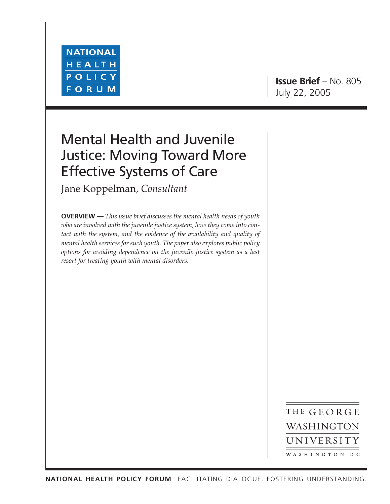

**Issue Brief** – No. 805 July 22, 2005

# Mental Health and Juvenile Justice: Moving Toward More Effective Systems of Care

Jane Koppelman, *Consultant*

**OVERVIEW —** *This issue brief discusses the mental health needs of youth who are involved with the juvenile justice system, how they come into contact with the system, and the evidence of the availability and quality of mental health services for such youth. The paper also explores public policy options for avoiding dependence on the juvenile justice system as a last resort for treating youth with mental disorders.*

> THE GEORGE WASHINGTON UNIVERSITY WASHINGTON DC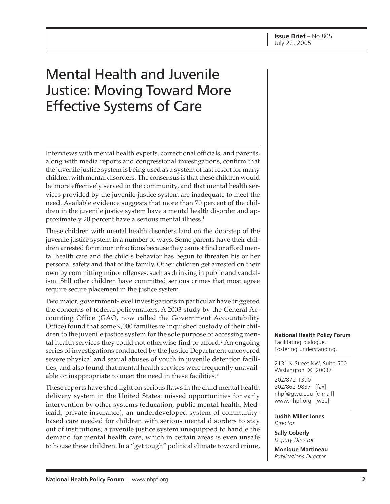# Mental Health and Juvenile Justice: Moving Toward More Effective Systems of Care

Interviews with mental health experts, correctional officials, and parents, along with media reports and congressional investigations, confirm that the juvenile justice system is being used as a system of last resort for many children with mental disorders. The consensus is that these children would be more effectively served in the community, and that mental health services provided by the juvenile justice system are inadequate to meet the need. Available evidence suggests that more than 70 percent of the children in the juvenile justice system have a mental health disorder and approximately 20 percent have a serious mental illness.<sup>1</sup>

These children with mental health disorders land on the doorstep of the juvenile justice system in a number of ways. Some parents have their children arrested for minor infractions because they cannot find or afford mental health care and the child's behavior has begun to threaten his or her personal safety and that of the family. Other children get arrested on their own by committing minor offenses, such as drinking in public and vandalism. Still other children have committed serious crimes that most agree require secure placement in the justice system.

Two major, government-level investigations in particular have triggered the concerns of federal policymakers. A 2003 study by the General Accounting Office (GAO, now called the Government Accountability Office) found that some 9,000 families relinquished custody of their children to the juvenile justice system for the sole purpose of accessing mental health services they could not otherwise find or afford.<sup>2</sup> An ongoing series of investigations conducted by the Justice Department uncovered severe physical and sexual abuses of youth in juvenile detention facilities, and also found that mental health services were frequently unavailable or inappropriate to meet the need in these facilities.<sup>3</sup>

These reports have shed light on serious flaws in the child mental health delivery system in the United States: missed opportunities for early intervention by other systems (education, public mental health, Medicaid, private insurance); an underdeveloped system of communitybased care needed for children with serious mental disorders to stay out of institutions; a juvenile justice system unequipped to handle the demand for mental health care, which in certain areas is even unsafe to house these children. In a "get tough" political climate toward crime, **National Health Policy Forum** Facilitating dialogue. Fostering understanding.

2131 K Street NW, Suite 500 Washington DC 20037

202/872-1390 202/862-9837 [fax] nhpf@gwu.edu [e-mail] www.nhpf.org [web]

**Judith Miller Jones** *Director*

**Sally Coberly** *Deputy Director*

**Monique Martineau** *Publications Director*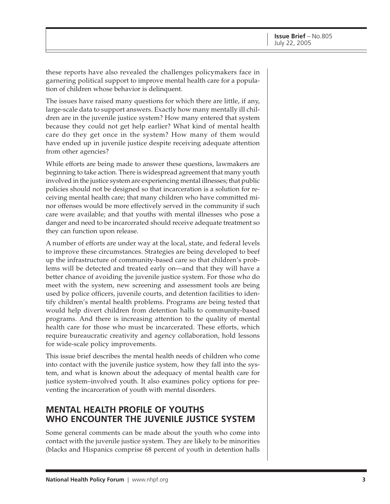these reports have also revealed the challenges policymakers face in garnering political support to improve mental health care for a population of children whose behavior is delinquent.

The issues have raised many questions for which there are little, if any, large-scale data to support answers. Exactly how many mentally ill children are in the juvenile justice system? How many entered that system because they could not get help earlier? What kind of mental health care do they get once in the system? How many of them would have ended up in juvenile justice despite receiving adequate attention from other agencies?

While efforts are being made to answer these questions, lawmakers are beginning to take action. There is widespread agreement that many youth involved in the justice system are experiencing mental illnesses; that public policies should not be designed so that incarceration is a solution for receiving mental health care; that many children who have committed minor offenses would be more effectively served in the community if such care were available; and that youths with mental illnesses who pose a danger and need to be incarcerated should receive adequate treatment so they can function upon release.

A number of efforts are under way at the local, state, and federal levels to improve these circumstances. Strategies are being developed to beef up the infrastructure of community-based care so that children's problems will be detected and treated early on—and that they will have a better chance of avoiding the juvenile justice system. For those who do meet with the system, new screening and assessment tools are being used by police officers, juvenile courts, and detention facilities to identify children's mental health problems. Programs are being tested that would help divert children from detention halls to community-based programs. And there is increasing attention to the quality of mental health care for those who must be incarcerated. These efforts, which require bureaucratic creativity and agency collaboration, hold lessons for wide-scale policy improvements.

This issue brief describes the mental health needs of children who come into contact with the juvenile justice system, how they fall into the system, and what is known about the adequacy of mental health care for justice system–involved youth. It also examines policy options for preventing the incarceration of youth with mental disorders.

#### **MENTAL HEALTH PROFILE OF YOUTHS WHO ENCOUNTER THE JUVENILE JUSTICE SYSTEM**

Some general comments can be made about the youth who come into contact with the juvenile justice system. They are likely to be minorities (blacks and Hispanics comprise 68 percent of youth in detention halls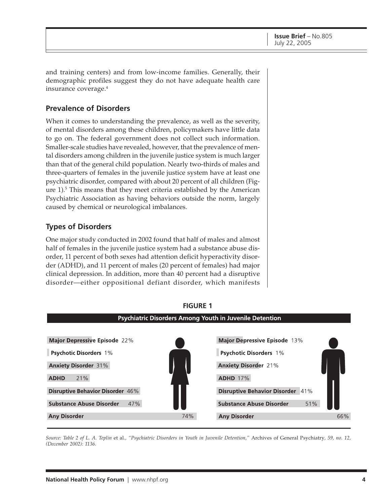and training centers) and from low-income families. Generally, their demographic profiles suggest they do not have adequate health care insurance coverage.4

#### **Prevalence of Disorders**

When it comes to understanding the prevalence, as well as the severity, of mental disorders among these children, policymakers have little data to go on. The federal government does not collect such information. Smaller-scale studies have revealed, however, that the prevalence of mental disorders among children in the juvenile justice system is much larger than that of the general child population. Nearly two-thirds of males and three-quarters of females in the juvenile justice system have at least one psychiatric disorder, compared with about 20 percent of all children (Figure 1).<sup>5</sup> This means that they meet criteria established by the American Psychiatric Association as having behaviors outside the norm, largely caused by chemical or neurological imbalances.

#### **Types of Disorders**

One major study conducted in 2002 found that half of males and almost half of females in the juvenile justice system had a substance abuse disorder, 11 percent of both sexes had attention deficit hyperactivity disorder (ADHD), and 11 percent of males (20 percent of females) had major clinical depression. In addition, more than 40 percent had a disruptive disorder—either oppositional defiant disorder, which manifests



## **FIGURE 1**

*Source: Table 2 of L. A. Teplin* et al.*, "Psychiatric Disorders in Youth in Juvenile Detention,"* Archives of General Psychiatry*, 59, no. 12, (December 2002): 1136.*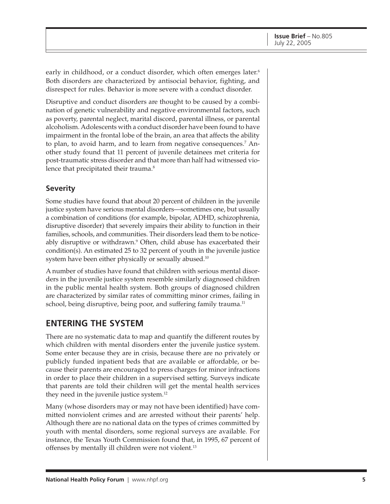early in childhood, or a conduct disorder, which often emerges later.<sup>6</sup> Both disorders are characterized by antisocial behavior, fighting, and disrespect for rules. Behavior is more severe with a conduct disorder.

Disruptive and conduct disorders are thought to be caused by a combination of genetic vulnerability and negative environmental factors, such as poverty, parental neglect, marital discord, parental illness, or parental alcoholism. Adolescents with a conduct disorder have been found to have impairment in the frontal lobe of the brain, an area that affects the ability to plan, to avoid harm, and to learn from negative consequences.<sup>7</sup> Another study found that 11 percent of juvenile detainees met criteria for post-traumatic stress disorder and that more than half had witnessed violence that precipitated their trauma.<sup>8</sup>

#### **Severity**

Some studies have found that about 20 percent of children in the juvenile justice system have serious mental disorders—sometimes one, but usually a combination of conditions (for example, bipolar, ADHD, schizophrenia, disruptive disorder) that severely impairs their ability to function in their families, schools, and communities. Their disorders lead them to be noticeably disruptive or withdrawn.<sup>9</sup> Often, child abuse has exacerbated their condition(s). An estimated 25 to 32 percent of youth in the juvenile justice system have been either physically or sexually abused.<sup>10</sup>

A number of studies have found that children with serious mental disorders in the juvenile justice system resemble similarly diagnosed children in the public mental health system. Both groups of diagnosed children are characterized by similar rates of committing minor crimes, failing in school, being disruptive, being poor, and suffering family trauma.<sup>11</sup>

#### **ENTERING THE SYSTEM**

There are no systematic data to map and quantify the different routes by which children with mental disorders enter the juvenile justice system. Some enter because they are in crisis, because there are no privately or publicly funded inpatient beds that are available or affordable, or because their parents are encouraged to press charges for minor infractions in order to place their children in a supervised setting. Surveys indicate that parents are told their children will get the mental health services they need in the juvenile justice system.12

Many (whose disorders may or may not have been identified) have committed nonviolent crimes and are arrested without their parents' help. Although there are no national data on the types of crimes committed by youth with mental disorders, some regional surveys are available. For instance, the Texas Youth Commission found that, in 1995, 67 percent of offenses by mentally ill children were not violent.<sup>13</sup>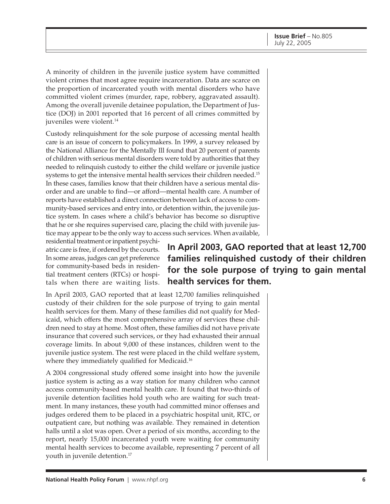A minority of children in the juvenile justice system have committed violent crimes that most agree require incarceration. Data are scarce on the proportion of incarcerated youth with mental disorders who have committed violent crimes (murder, rape, robbery, aggravated assault). Among the overall juvenile detainee population, the Department of Justice (DOJ) in 2001 reported that 16 percent of all crimes committed by juveniles were violent.<sup>14</sup>

Custody relinquishment for the sole purpose of accessing mental health care is an issue of concern to policymakers. In 1999, a survey released by the National Alliance for the Mentally Ill found that 20 percent of parents of children with serious mental disorders were told by authorities that they needed to relinquish custody to either the child welfare or juvenile justice systems to get the intensive mental health services their children needed.<sup>15</sup> In these cases, families know that their children have a serious mental disorder and are unable to find—or afford—mental health care. A number of reports have established a direct connection between lack of access to community-based services and entry into, or detention within, the juvenile justice system. In cases where a child's behavior has become so disruptive that he or she requires supervised care, placing the child with juvenile justice may appear to be the only way to access such services. When available,

residential treatment or inpatient psychiatric care is free, if ordered by the courts. In some areas, judges can get preference for community-based beds in residential treatment centers (RTCs) or hospitals when there are waiting lists.

**In April 2003, GAO reported that at least 12,700 families relinquished custody of their children for the sole purpose of trying to gain mental health services for them.**

In April 2003, GAO reported that at least 12,700 families relinquished custody of their children for the sole purpose of trying to gain mental health services for them. Many of these families did not qualify for Medicaid, which offers the most comprehensive array of services these children need to stay at home. Most often, these families did not have private insurance that covered such services, or they had exhausted their annual coverage limits. In about 9,000 of these instances, children went to the juvenile justice system. The rest were placed in the child welfare system, where they immediately qualified for Medicaid.<sup>16</sup>

A 2004 congressional study offered some insight into how the juvenile justice system is acting as a way station for many children who cannot access community-based mental health care. It found that two-thirds of juvenile detention facilities hold youth who are waiting for such treatment. In many instances, these youth had committed minor offenses and judges ordered them to be placed in a psychiatric hospital unit, RTC, or outpatient care, but nothing was available. They remained in detention halls until a slot was open. Over a period of six months, according to the report, nearly 15,000 incarcerated youth were waiting for community mental health services to become available, representing 7 percent of all youth in juvenile detention.<sup>17</sup>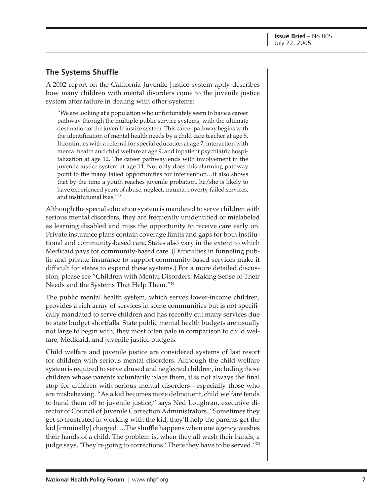#### **The Systems Shuffle**

A 2002 report on the California Juvenile Justice system aptly describes how many children with mental disorders come to the juvenile justice system after failure in dealing with other systems:

"We are looking at a population who unfortunately seem to have a career pathway through the multiple public service systems, with the ultimate destination of the juvenile justice system. This career pathway begins with the identification of mental health needs by a child care teacher at age 5. It continues with a referral for special education at age 7, interaction with mental health and child welfare at age 9, and inpatient psychiatric hospitalization at age 12. The career pathway ends with involvement in the juvenile justice system at age 14. Not only does this alarming pathway point to the many failed opportunities for intervention…it also shows that by the time a youth reaches juvenile probation, he/she is likely to have experienced years of abuse, neglect, trauma, poverty, failed services, and institutional bias."18

Although the special education system is mandated to serve children with serious mental disorders, they are frequently unidentified or mislabeled as learning disabled and miss the opportunity to receive care early on. Private insurance plans contain coverage limits and gaps for both institutional and community-based care. States also vary in the extent to which Medicaid pays for community-based care. (Difficulties in funneling public and private insurance to support community-based services make it difficult for states to expand these systems.) For a more detailed discussion, please see "Children with Mental Disorders: Making Sense of Their Needs and the Systems That Help Them."19

The public mental health system, which serves lower-income children, provides a rich array of services in some communities but is not specifically mandated to serve children and has recently cut many services due to state budget shortfalls. State public mental health budgets are usually not large to begin with; they most often pale in comparison to child welfare, Medicaid, and juvenile justice budgets.

Child welfare and juvenile justice are considered systems of last resort for children with serious mental disorders. Although the child welfare system is required to serve abused and neglected children, including those children whose parents voluntarily place them, it is not always the final stop for children with serious mental disorders—especially those who are misbehaving. "As a kid becomes more delinquent, child welfare tends to hand them off to juvenile justice," says Ned Loughran, executive director of Council of Juvenile Correction Administrators. "Sometimes they get so frustrated in working with the kid, they'll help the parents get the kid [criminally] charged….The shuffle happens when one agency washes their hands of a child. The problem is, when they all wash their hands, a judge says, 'They're going to corrections.' There they have to be served."20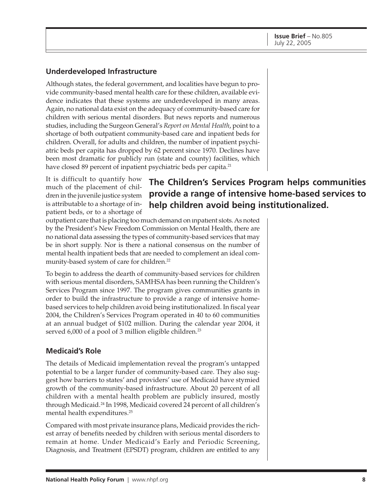#### **Underdeveloped Infrastructure**

Although states, the federal government, and localities have begun to provide community-based mental health care for these children, available evidence indicates that these systems are underdeveloped in many areas. Again, no national data exist on the adequacy of community-based care for children with serious mental disorders. But news reports and numerous studies, including the Surgeon General's *Report on Mental Health*, point to a shortage of both outpatient community-based care and inpatient beds for children. Overall, for adults and children, the number of inpatient psychiatric beds per capita has dropped by 62 percent since 1970. Declines have been most dramatic for publicly run (state and county) facilities, which have closed 89 percent of inpatient psychiatric beds per capita.<sup>21</sup>

It is difficult to quantify how much of the placement of children in the juvenile justice system is attributable to a shortage of inpatient beds, or to a shortage of

# **The Children's Services Program helps communities provide a range of intensive home-based services to help children avoid being institutionalized.**

outpatient care that is placing too much demand on inpatient slots. As noted by the President's New Freedom Commission on Mental Health, there are no national data assessing the types of community-based services that may be in short supply. Nor is there a national consensus on the number of mental health inpatient beds that are needed to complement an ideal community-based system of care for children.<sup>22</sup>

To begin to address the dearth of community-based services for children with serious mental disorders, SAMHSA has been running the Children's Services Program since 1997. The program gives communities grants in order to build the infrastructure to provide a range of intensive homebased services to help children avoid being institutionalized. In fiscal year 2004, the Children's Services Program operated in 40 to 60 communities at an annual budget of \$102 million. During the calendar year 2004, it served 6,000 of a pool of 3 million eligible children.<sup>23</sup>

#### **Medicaid's Role**

The details of Medicaid implementation reveal the program's untapped potential to be a larger funder of community-based care. They also suggest how barriers to states' and providers' use of Medicaid have stymied growth of the community-based infrastructure. About 20 percent of all children with a mental health problem are publicly insured, mostly through Medicaid.<sup>24</sup> In 1998, Medicaid covered 24 percent of all children's mental health expenditures.25

Compared with most private insurance plans, Medicaid provides the richest array of benefits needed by children with serious mental disorders to remain at home. Under Medicaid's Early and Periodic Screening, Diagnosis, and Treatment (EPSDT) program, children are entitled to any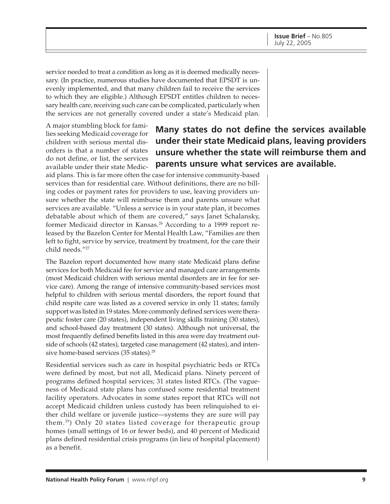service needed to treat a condition as long as it is deemed medically necessary. (In practice, numerous studies have documented that EPSDT is unevenly implemented, and that many children fail to receive the services to which they are eligible.) Although EPSDT entitles children to necessary health care, receiving such care can be complicated, particularly when the services are not generally covered under a state's Medicaid plan.

A major stumbling block for families seeking Medicaid coverage for children with serious mental disorders is that a number of states do not define, or list, the services available under their state Medic-

## **Many states do not define the services available under their state Medicaid plans, leaving providers unsure whether the state will reimburse them and parents unsure what services are available.**

aid plans. This is far more often the case for intensive community-based services than for residential care. Without definitions, there are no billing codes or payment rates for providers to use, leaving providers unsure whether the state will reimburse them and parents unsure what services are available. "Unless a service is in your state plan, it becomes debatable about which of them are covered," says Janet Schalansky, former Medicaid director in Kansas.<sup>26</sup> According to a 1999 report released by the Bazelon Center for Mental Health Law, "Families are then left to fight, service by service, treatment by treatment, for the care their child needs."27

The Bazelon report documented how many state Medicaid plans define services for both Medicaid fee for service and managed care arrangements (most Medicaid children with serious mental disorders are in fee for service care). Among the range of intensive community-based services most helpful to children with serious mental disorders, the report found that child respite care was listed as a covered service in only 11 states; family support was listed in 19 states. More commonly defined services were therapeutic foster care (20 states), independent living skills training (30 states), and school-based day treatment (30 states). Although not universal, the most frequently defined benefits listed in this area were day treatment outside of schools (42 states), targeted case management (42 states), and intensive home-based services (35 states).<sup>28</sup>

Residential services such as care in hospital psychiatric beds or RTCs were defined by most, but not all, Medicaid plans. Ninety percent of programs defined hospital services; 31 states listed RTCs. (The vagueness of Medicaid state plans has confused some residential treatment facility operators. Advocates in some states report that RTCs will not accept Medicaid children unless custody has been relinquished to either child welfare or juvenile justice—systems they are sure will pay them.29) Only 20 states listed coverage for therapeutic group homes (small settings of 16 or fewer beds), and 40 percent of Medicaid plans defined residential crisis programs (in lieu of hospital placement) as a benefit.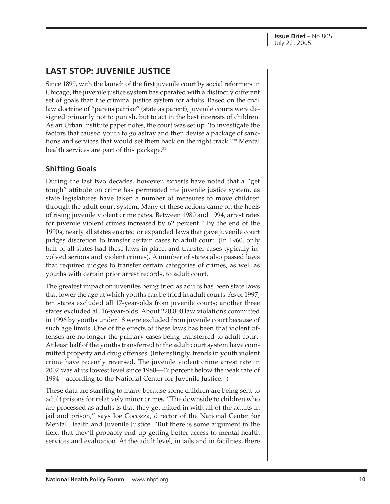## **LAST STOP: JUVENILE JUSTICE**

Since 1899, with the launch of the first juvenile court by social reformers in Chicago, the juvenile justice system has operated with a distinctly different set of goals than the criminal justice system for adults. Based on the civil law doctrine of "parens patriae" (state as parent), juvenile courts were designed primarily not to punish, but to act in the best interests of children. As an Urban Institute paper notes, the court was set up "to investigate the factors that caused youth to go astray and then devise a package of sanctions and services that would set them back on the right track."30 Mental health services are part of this package.<sup>31</sup>

#### **Shifting Goals**

During the last two decades, however, experts have noted that a "get tough" attitude on crime has permeated the juvenile justice system, as state legislatures have taken a number of measures to move children through the adult court system. Many of these actions came on the heels of rising juvenile violent crime rates. Between 1980 and 1994, arrest rates for juvenile violent crimes increased by 62 percent.32 By the end of the 1990s, nearly all states enacted or expanded laws that gave juvenile court judges discretion to transfer certain cases to adult court. (In 1960, only half of all states had these laws in place, and transfer cases typically involved serious and violent crimes). A number of states also passed laws that required judges to transfer certain categories of crimes, as well as youths with certain prior arrest records, to adult court.

The greatest impact on juveniles being tried as adults has been state laws that lower the age at which youths can be tried in adult courts. As of 1997, ten states excluded all 17-year-olds from juvenile courts; another three states excluded all 16-year-olds. About 220,000 law violations committed in 1996 by youths under 18 were excluded from juvenile court because of such age limits. One of the effects of these laws has been that violent offenses are no longer the primary cases being transferred to adult court. At least half of the youths transferred to the adult court system have committed property and drug offenses. (Interestingly, trends in youth violent crime have recently reversed. The juvenile violent crime arrest rate in 2002 was at its lowest level since 1980—47 percent below the peak rate of 1994—according to the National Center for Juvenile Justice.33)

These data are startling to many because some children are being sent to adult prisons for relatively minor crimes. "The downside to children who are processed as adults is that they get mixed in with all of the adults in jail and prison," says Joe Cocozza, director of the National Center for Mental Health and Juvenile Justice. "But there is some argument in the field that they'll probably end up getting better access to mental health services and evaluation. At the adult level, in jails and in facilities, there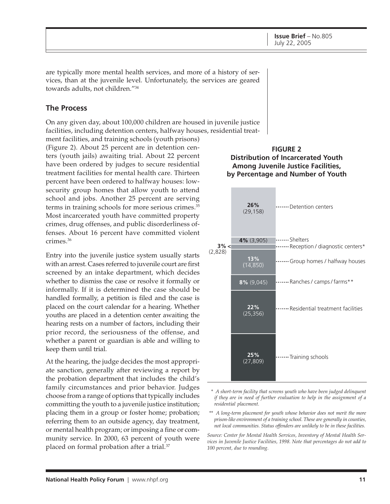are typically more mental health services, and more of a history of services, than at the juvenile level. Unfortunately, the services are geared towards adults, not children."34

#### **The Process**

On any given day, about 100,000 children are housed in juvenile justice facilities, including detention centers, halfway houses, residential treat-

ment facilities, and training schools (youth prisons) (Figure 2). About 25 percent are in detention centers (youth jails) awaiting trial. About 22 percent have been ordered by judges to secure residential treatment facilities for mental health care. Thirteen percent have been ordered to halfway houses: lowsecurity group homes that allow youth to attend school and jobs. Another 25 percent are serving terms in training schools for more serious crimes.<sup>35</sup> Most incarcerated youth have committed property crimes, drug offenses, and public disorderliness offenses. About 16 percent have committed violent crimes.36

Entry into the juvenile justice system usually starts with an arrest. Cases referred to juvenile court are first screened by an intake department, which decides whether to dismiss the case or resolve it formally or informally. If it is determined the case should be handled formally, a petition is filed and the case is placed on the court calendar for a hearing. Whether youths are placed in a detention center awaiting the hearing rests on a number of factors, including their prior record, the seriousness of the offense, and whether a parent or guardian is able and willing to keep them until trial.

At the hearing, the judge decides the most appropriate sanction, generally after reviewing a report by the probation department that includes the child's family circumstances and prior behavior. Judges choose from a range of options that typically includes committing the youth to a juvenile justice institution; placing them in a group or foster home; probation; referring them to an outside agency, day treatment, or mental health program; or imposing a fine or community service. In 2000, 63 percent of youth were placed on formal probation after a trial.<sup>37</sup>





- *\* A short-term facility that screens youth who have been judged delinquent if they are in need of further evaluation to help in the assignment of a residential placement.*
- *\*\* A long-term placement for youth whose behavior does not merit the more prison-like environment of a training school. These are generally in counties, not local communities. Status offenders are unlikely to be in these facilities.*

*Source: Center for Mental Health Services, Inventory of Mental Health Services in Juvenile Justice Facilities, 1998. Note that percentages do not add to 100 percent, due to rounding.*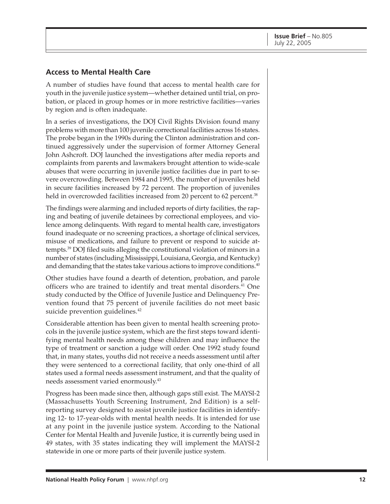#### **Access to Mental Health Care**

A number of studies have found that access to mental health care for youth in the juvenile justice system—whether detained until trial, on probation, or placed in group homes or in more restrictive facilities—varies by region and is often inadequate.

In a series of investigations, the DOJ Civil Rights Division found many problems with more than 100 juvenile correctional facilities across 16 states. The probe began in the 1990s during the Clinton administration and continued aggressively under the supervision of former Attorney General John Ashcroft. DOJ launched the investigations after media reports and complaints from parents and lawmakers brought attention to wide-scale abuses that were occurring in juvenile justice facilities due in part to severe overcrowding. Between 1984 and 1995, the number of juveniles held in secure facilities increased by 72 percent. The proportion of juveniles held in overcrowded facilities increased from 20 percent to 62 percent.<sup>38</sup>

The findings were alarming and included reports of dirty facilities, the raping and beating of juvenile detainees by correctional employees, and violence among delinquents. With regard to mental health care, investigators found inadequate or no screening practices, a shortage of clinical services, misuse of medications, and failure to prevent or respond to suicide attempts.39 DOJ filed suits alleging the constitutional violation of minors in a number of states (including Mississippi, Louisiana, Georgia, and Kentucky) and demanding that the states take various actions to improve conditions.<sup>40</sup>

Other studies have found a dearth of detention, probation, and parole officers who are trained to identify and treat mental disorders.<sup>41</sup> One study conducted by the Office of Juvenile Justice and Delinquency Prevention found that 75 percent of juvenile facilities do not meet basic suicide prevention guidelines.<sup>42</sup>

Considerable attention has been given to mental health screening protocols in the juvenile justice system, which are the first steps toward identifying mental health needs among these children and may influence the type of treatment or sanction a judge will order. One 1992 study found that, in many states, youths did not receive a needs assessment until after they were sentenced to a correctional facility, that only one-third of all states used a formal needs assessment instrument, and that the quality of needs assessment varied enormously.43

Progress has been made since then, although gaps still exist. The MAYSI-2 (Massachusetts Youth Screening Instrument, 2nd Edition) is a selfreporting survey designed to assist juvenile justice facilities in identifying 12- to 17-year-olds with mental health needs. It is intended for use at any point in the juvenile justice system. According to the National Center for Mental Health and Juvenile Justice, it is currently being used in 49 states, with 35 states indicating they will implement the MAYSI-2 statewide in one or more parts of their juvenile justice system.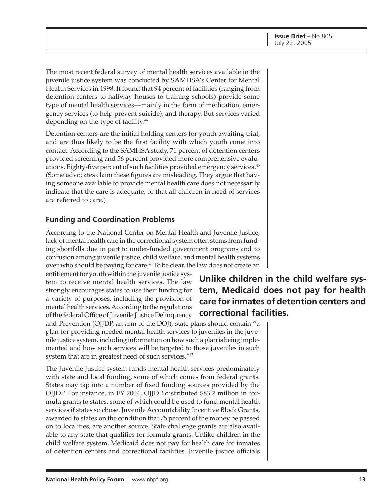The most recent federal survey of mental health services available in the juvenile justice system was conducted by SAMHSA's Center for Mental Health Services in 1998. It found that 94 percent of facilities (ranging from detention centers to halfway houses to training schools) provide some type of mental health services—mainly in the form of medication, emergency services (to help prevent suicide), and therapy. But services varied depending on the type of facility.<sup>44</sup>

Detention centers are the initial holding centers for youth awaiting trial, and are thus likely to be the first facility with which youth come into contact. According to the SAMHSA study, 71 percent of detention centers provided screening and 56 percent provided more comprehensive evaluations. Eighty-five percent of such facilities provided emergency services.<sup>45</sup> (Some advocates claim these figures are misleading. They argue that having someone available to provide mental health care does not necessarily indicate that the care is adequate, or that all children in need of services are referred to care.)

#### **Funding and Coordination Problems**

According to the National Center on Mental Health and Juvenile Justice, lack of mental health care in the correctional system often stems from funding shortfalls due in part to under-funded government programs and to confusion among juvenile justice, child welfare, and mental health systems over who should be paying for care.<sup>46</sup> To be clear, the law does not create an

entitlement for youth within the juvenile justice system to receive mental health services. The law strongly encourages states to use their funding for a variety of purposes, including the provision of mental health services. According to the regulations of the federal Office of Juvenile Justice Delinquency

and Prevention (OJJDP, an arm of the DOJ), state plans should contain "a plan for providing needed mental health services to juveniles in the juvenile justice system, including information on how such a plan is being implemented and how such services will be targeted to those juveniles in such system that are in greatest need of such services."47

The Juvenile Justice system funds mental health services predominately with state and local funding, some of which comes from federal grants. States may tap into a number of fixed funding sources provided by the OJJDP. For instance, in FY 2004, OJJDP distributed \$83.2 million in formula grants to states, some of which could be used to fund mental health services if states so chose. Juvenile Accountability Incentive Block Grants, awarded to states on the condition that 75 percent of the money be passed on to localities, are another source. State challenge grants are also available to any state that qualifies for formula grants. Unlike children in the child welfare system, Medicaid does not pay for health care for inmates of detention centers and correctional facilities. Juvenile justice officials

## **Unlike children in the child welfare system, Medicaid does not pay for health care for inmates of detention centers and correctional facilities.**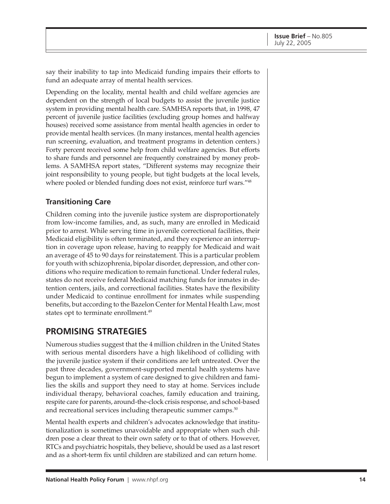say their inability to tap into Medicaid funding impairs their efforts to fund an adequate array of mental health services.

Depending on the locality, mental health and child welfare agencies are dependent on the strength of local budgets to assist the juvenile justice system in providing mental health care. SAMHSA reports that, in 1998, 47 percent of juvenile justice facilities (excluding group homes and halfway houses) received some assistance from mental health agencies in order to provide mental health services. (In many instances, mental health agencies run screening, evaluation, and treatment programs in detention centers.) Forty percent received some help from child welfare agencies. But efforts to share funds and personnel are frequently constrained by money problems. A SAMHSA report states, "Different systems may recognize their joint responsibility to young people, but tight budgets at the local levels, where pooled or blended funding does not exist, reinforce turf wars."<sup>48</sup>

#### **Transitioning Care**

Children coming into the juvenile justice system are disproportionately from low-income families, and, as such, many are enrolled in Medicaid prior to arrest. While serving time in juvenile correctional facilities, their Medicaid eligibility is often terminated, and they experience an interruption in coverage upon release, having to reapply for Medicaid and wait an average of 45 to 90 days for reinstatement. This is a particular problem for youth with schizophrenia, bipolar disorder, depression, and other conditions who require medication to remain functional. Under federal rules, states do not receive federal Medicaid matching funds for inmates in detention centers, jails, and correctional facilities. States have the flexibility under Medicaid to continue enrollment for inmates while suspending benefits, but according to the Bazelon Center for Mental Health Law, most states opt to terminate enrollment.<sup>49</sup>

## **PROMISING STRATEGIES**

Numerous studies suggest that the 4 million children in the United States with serious mental disorders have a high likelihood of colliding with the juvenile justice system if their conditions are left untreated. Over the past three decades, government-supported mental health systems have begun to implement a system of care designed to give children and families the skills and support they need to stay at home. Services include individual therapy, behavioral coaches, family education and training, respite care for parents, around-the-clock crisis response, and school-based and recreational services including therapeutic summer camps.<sup>50</sup>

Mental health experts and children's advocates acknowledge that institutionalization is sometimes unavoidable and appropriate when such children pose a clear threat to their own safety or to that of others. However, RTCs and psychiatric hospitals, they believe, should be used as a last resort and as a short-term fix until children are stabilized and can return home.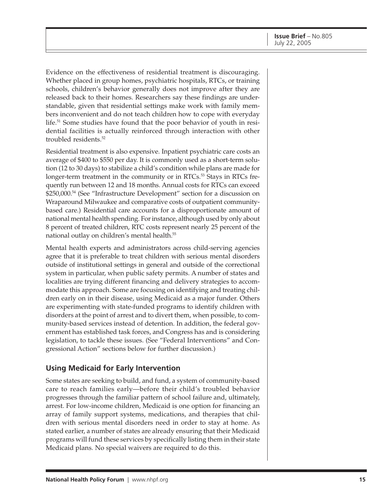Evidence on the effectiveness of residential treatment is discouraging. Whether placed in group homes, psychiatric hospitals, RTCs, or training schools, children's behavior generally does not improve after they are released back to their homes. Researchers say these findings are understandable, given that residential settings make work with family members inconvenient and do not teach children how to cope with everyday life.51 Some studies have found that the poor behavior of youth in residential facilities is actually reinforced through interaction with other troubled residents.52

Residential treatment is also expensive. Inpatient psychiatric care costs an average of \$400 to \$550 per day. It is commonly used as a short-term solution (12 to 30 days) to stabilize a child's condition while plans are made for longer-term treatment in the community or in RTCs.<sup>53</sup> Stays in RTCs frequently run between 12 and 18 months. Annual costs for RTCs can exceed \$250,000.54 (See "Infrastructure Development" section for a discussion on Wraparound Milwaukee and comparative costs of outpatient communitybased care.) Residential care accounts for a disproportionate amount of national mental health spending. For instance, although used by only about 8 percent of treated children, RTC costs represent nearly 25 percent of the national outlay on children's mental health.55

Mental health experts and administrators across child-serving agencies agree that it is preferable to treat children with serious mental disorders outside of institutional settings in general and outside of the correctional system in particular, when public safety permits. A number of states and localities are trying different financing and delivery strategies to accommodate this approach. Some are focusing on identifying and treating children early on in their disease, using Medicaid as a major funder. Others are experimenting with state-funded programs to identify children with disorders at the point of arrest and to divert them, when possible, to community-based services instead of detention. In addition, the federal government has established task forces, and Congress has and is considering legislation, to tackle these issues. (See "Federal Interventions" and Congressional Action" sections below for further discussion.)

#### **Using Medicaid for Early Intervention**

Some states are seeking to build, and fund, a system of community-based care to reach families early—before their child's troubled behavior progresses through the familiar pattern of school failure and, ultimately, arrest. For low-income children, Medicaid is one option for financing an array of family support systems, medications, and therapies that children with serious mental disorders need in order to stay at home. As stated earlier, a number of states are already ensuring that their Medicaid programs will fund these services by specifically listing them in their state Medicaid plans. No special waivers are required to do this.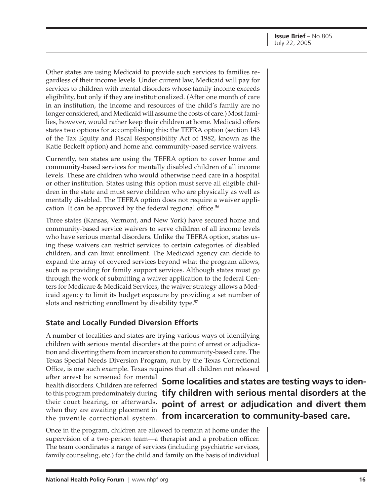Other states are using Medicaid to provide such services to families regardless of their income levels. Under current law, Medicaid will pay for services to children with mental disorders whose family income exceeds eligibility, but only if they are institutionalized. (After one month of care in an institution, the income and resources of the child's family are no longer considered, and Medicaid will assume the costs of care.) Most families, however, would rather keep their children at home. Medicaid offers states two options for accomplishing this: the TEFRA option (section 143 of the Tax Equity and Fiscal Responsibility Act of 1982, known as the Katie Beckett option) and home and community-based service waivers.

Currently, ten states are using the TEFRA option to cover home and community-based services for mentally disabled children of all income levels. These are children who would otherwise need care in a hospital or other institution. States using this option must serve all eligible children in the state and must serve children who are physically as well as mentally disabled. The TEFRA option does not require a waiver application. It can be approved by the federal regional office.<sup>56</sup>

Three states (Kansas, Vermont, and New York) have secured home and community-based service waivers to serve children of all income levels who have serious mental disorders. Unlike the TEFRA option, states using these waivers can restrict services to certain categories of disabled children, and can limit enrollment. The Medicaid agency can decide to expand the array of covered services beyond what the program allows, such as providing for family support services. Although states must go through the work of submitting a waiver application to the federal Centers for Medicare & Medicaid Services, the waiver strategy allows a Medicaid agency to limit its budget exposure by providing a set number of slots and restricting enrollment by disability type.<sup>57</sup>

#### **State and Locally Funded Diversion Efforts**

A number of localities and states are trying various ways of identifying children with serious mental disorders at the point of arrest or adjudication and diverting them from incarceration to community-based care. The Texas Special Needs Diversion Program, run by the Texas Correctional Office, is one such example. Texas requires that all children not released

after arrest be screened for mental health disorders. Children are referred to this program predominately during their court hearing, or afterwards, when they are awaiting placement in the juvenile correctional system.

**Some localities and states are testing ways to identify children with serious mental disorders at the point of arrest or adjudication and divert them from incarceration to community-based care.**

Once in the program, children are allowed to remain at home under the supervision of a two-person team—a therapist and a probation officer. The team coordinates a range of services (including psychiatric services, family counseling, etc.) for the child and family on the basis of individual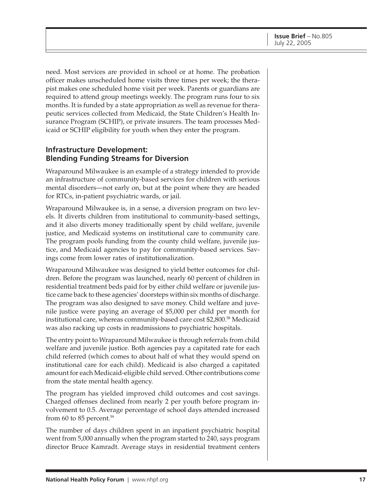need. Most services are provided in school or at home. The probation officer makes unscheduled home visits three times per week; the therapist makes one scheduled home visit per week. Parents or guardians are required to attend group meetings weekly. The program runs four to six months. It is funded by a state appropriation as well as revenue for therapeutic services collected from Medicaid, the State Children's Health Insurance Program (SCHIP), or private insurers. The team processes Medicaid or SCHIP eligibility for youth when they enter the program.

#### **Infrastructure Development: Blending Funding Streams for Diversion**

Wraparound Milwaukee is an example of a strategy intended to provide an infrastructure of community-based services for children with serious mental disorders—not early on, but at the point where they are headed for RTCs, in-patient psychiatric wards, or jail.

Wraparound Milwaukee is, in a sense, a diversion program on two levels. It diverts children from institutional to community-based settings, and it also diverts money traditionally spent by child welfare, juvenile justice, and Medicaid systems on institutional care to community care. The program pools funding from the county child welfare, juvenile justice, and Medicaid agencies to pay for community-based services. Savings come from lower rates of institutionalization.

Wraparound Milwaukee was designed to yield better outcomes for children. Before the program was launched, nearly 60 percent of children in residential treatment beds paid for by either child welfare or juvenile justice came back to these agencies' doorsteps within six months of discharge. The program was also designed to save money. Child welfare and juvenile justice were paying an average of \$5,000 per child per month for institutional care, whereas community-based care cost \$2,800.58 Medicaid was also racking up costs in readmissions to psychiatric hospitals.

The entry point to Wraparound Milwaukee is through referrals from child welfare and juvenile justice. Both agencies pay a capitated rate for each child referred (which comes to about half of what they would spend on institutional care for each child). Medicaid is also charged a capitated amount for each Medicaid-eligible child served. Other contributions come from the state mental health agency.

The program has yielded improved child outcomes and cost savings. Charged offenses declined from nearly 2 per youth before program involvement to 0.5. Average percentage of school days attended increased from 60 to 85 percent. $59$ 

The number of days children spent in an inpatient psychiatric hospital went from 5,000 annually when the program started to 240, says program director Bruce Kamradt. Average stays in residential treatment centers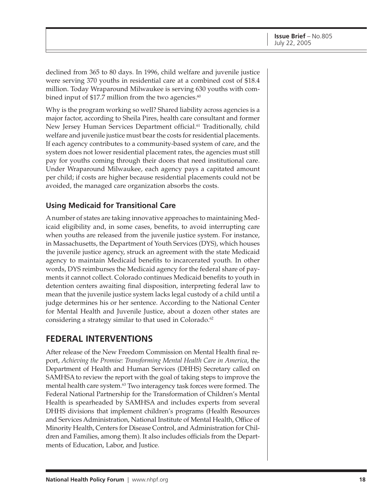declined from 365 to 80 days. In 1996, child welfare and juvenile justice were serving 370 youths in residential care at a combined cost of \$18.4 million. Today Wraparound Milwaukee is serving 630 youths with combined input of \$17.7 million from the two agencies. $60$ 

Why is the program working so well? Shared liability across agencies is a major factor, according to Sheila Pires, health care consultant and former New Jersey Human Services Department official.<sup>61</sup> Traditionally, child welfare and juvenile justice must bear the costs for residential placements. If each agency contributes to a community-based system of care, and the system does not lower residential placement rates, the agencies must still pay for youths coming through their doors that need institutional care. Under Wraparound Milwaukee, each agency pays a capitated amount per child; if costs are higher because residential placements could not be avoided, the managed care organization absorbs the costs.

#### **Using Medicaid for Transitional Care**

A number of states are taking innovative approaches to maintaining Medicaid eligibility and, in some cases, benefits, to avoid interrupting care when youths are released from the juvenile justice system. For instance, in Massachusetts, the Department of Youth Services (DYS), which houses the juvenile justice agency, struck an agreement with the state Medicaid agency to maintain Medicaid benefits to incarcerated youth. In other words, DYS reimburses the Medicaid agency for the federal share of payments it cannot collect. Colorado continues Medicaid benefits to youth in detention centers awaiting final disposition, interpreting federal law to mean that the juvenile justice system lacks legal custody of a child until a judge determines his or her sentence. According to the National Center for Mental Health and Juvenile Justice, about a dozen other states are considering a strategy similar to that used in Colorado.<sup>62</sup>

#### **FEDERAL INTERVENTIONS**

After release of the New Freedom Commission on Mental Health final report, *Achieving the Promise: Transforming Mental Health Care in America*, the Department of Health and Human Services (DHHS) Secretary called on SAMHSA to review the report with the goal of taking steps to improve the mental health care system.<sup>63</sup> Two interagency task forces were formed. The Federal National Partnership for the Transformation of Children's Mental Health is spearheaded by SAMHSA and includes experts from several DHHS divisions that implement children's programs (Health Resources and Services Administration, National Institute of Mental Health, Office of Minority Health, Centers for Disease Control, and Administration for Children and Families, among them). It also includes officials from the Departments of Education, Labor, and Justice.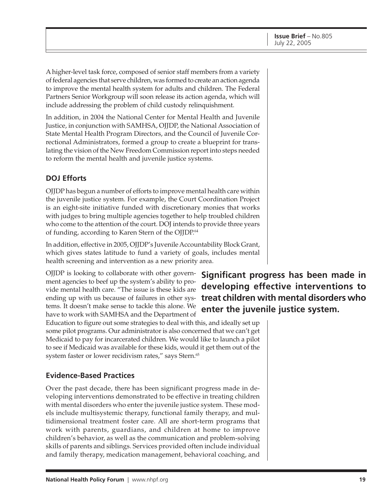A higher-level task force, composed of senior staff members from a variety of federal agencies that serve children, was formed to create an action agenda to improve the mental health system for adults and children. The Federal Partners Senior Workgroup will soon release its action agenda, which will include addressing the problem of child custody relinquishment.

In addition, in 2004 the National Center for Mental Health and Juvenile Justice, in conjunction with SAMHSA, OJJDP, the National Association of State Mental Health Program Directors, and the Council of Juvenile Correctional Administrators, formed a group to create a blueprint for translating the vision of the New Freedom Commission report into steps needed to reform the mental health and juvenile justice systems.

#### **DOJ Efforts**

OJJDP has begun a number of efforts to improve mental health care within the juvenile justice system. For example, the Court Coordination Project is an eight-site initiative funded with discretionary monies that works with judges to bring multiple agencies together to help troubled children who come to the attention of the court. DOJ intends to provide three years of funding, according to Karen Stern of the OJJDP.<sup>64</sup>

In addition, effective in 2005, OJJDP's Juvenile Accountability Block Grant, which gives states latitude to fund a variety of goals, includes mental health screening and intervention as a new priority area.

OJJDP is looking to collaborate with other government agencies to beef up the system's ability to provide mental health care. "The issue is these kids are ending up with us because of failures in other systems. It doesn't make sense to tackle this alone. We have to work with SAMHSA and the Department of

## **Significant progress has been made in developing effective interventions to treat children with mental disorders who enter the juvenile justice system.**

Education to figure out some strategies to deal with this, and ideally set up some pilot programs. Our administrator is also concerned that we can't get Medicaid to pay for incarcerated children. We would like to launch a pilot to see if Medicaid was available for these kids, would it get them out of the system faster or lower recidivism rates," says Stern.<sup>65</sup>

#### **Evidence-Based Practices**

Over the past decade, there has been significant progress made in developing interventions demonstrated to be effective in treating children with mental disorders who enter the juvenile justice system. These models include multisystemic therapy, functional family therapy, and multidimensional treatment foster care. All are short-term programs that work with parents, guardians, and children at home to improve children's behavior, as well as the communication and problem-solving skills of parents and siblings. Services provided often include individual and family therapy, medication management, behavioral coaching, and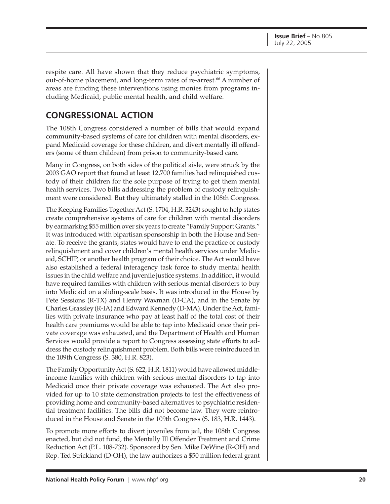respite care. All have shown that they reduce psychiatric symptoms, out-of-home placement, and long-term rates of re-arrest.<sup>66</sup> A number of areas are funding these interventions using monies from programs including Medicaid, public mental health, and child welfare.

## **CONGRESSIONAL ACTION**

The 108th Congress considered a number of bills that would expand community-based systems of care for children with mental disorders, expand Medicaid coverage for these children, and divert mentally ill offenders (some of them children) from prison to community-based care.

Many in Congress, on both sides of the political aisle, were struck by the 2003 GAO report that found at least 12,700 families had relinquished custody of their children for the sole purpose of trying to get them mental health services. Two bills addressing the problem of custody relinquishment were considered. But they ultimately stalled in the 108th Congress.

The Keeping Families Together Act (S. 1704, H.R. 3243) sought to help states create comprehensive systems of care for children with mental disorders by earmarking \$55 million over six years to create "Family Support Grants." It was introduced with bipartisan sponsorship in both the House and Senate. To receive the grants, states would have to end the practice of custody relinquishment and cover children's mental health services under Medicaid, SCHIP, or another health program of their choice. The Act would have also established a federal interagency task force to study mental health issues in the child welfare and juvenile justice systems. In addition, it would have required families with children with serious mental disorders to buy into Medicaid on a sliding-scale basis. It was introduced in the House by Pete Sessions (R-TX) and Henry Waxman (D-CA), and in the Senate by Charles Grassley (R-IA) and Edward Kennedy (D-MA). Under the Act, families with private insurance who pay at least half of the total cost of their health care premiums would be able to tap into Medicaid once their private coverage was exhausted, and the Department of Health and Human Services would provide a report to Congress assessing state efforts to address the custody relinquishment problem. Both bills were reintroduced in the 109th Congress (S. 380, H.R. 823).

The Family Opportunity Act (S. 622, H.R. 1811) would have allowed middleincome families with children with serious mental disorders to tap into Medicaid once their private coverage was exhausted. The Act also provided for up to 10 state demonstration projects to test the effectiveness of providing home and community-based alternatives to psychiatric residential treatment facilities. The bills did not become law. They were reintroduced in the House and Senate in the 109th Congress (S. 183, H.R. 1443).

To promote more efforts to divert juveniles from jail, the 108th Congress enacted, but did not fund, the Mentally Ill Offender Treatment and Crime Reduction Act (P.L. 108-732). Sponsored by Sen. Mike DeWine (R-OH) and Rep. Ted Strickland (D-OH), the law authorizes a \$50 million federal grant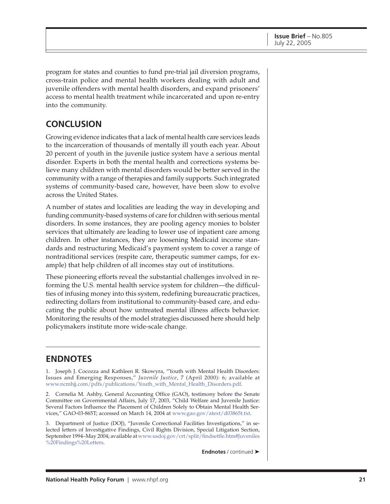program for states and counties to fund pre-trial jail diversion programs, cross-train police and mental health workers dealing with adult and juvenile offenders with mental health disorders, and expand prisoners' access to mental health treatment while incarcerated and upon re-entry into the community.

## **CONCLUSION**

Growing evidence indicates that a lack of mental health care services leads to the incarceration of thousands of mentally ill youth each year. About 20 percent of youth in the juvenile justice system have a serious mental disorder. Experts in both the mental health and corrections systems believe many children with mental disorders would be better served in the community with a range of therapies and family supports. Such integrated systems of community-based care, however, have been slow to evolve across the United States.

A number of states and localities are leading the way in developing and funding community-based systems of care for children with serious mental disorders. In some instances, they are pooling agency monies to bolster services that ultimately are leading to lower use of inpatient care among children. In other instances, they are loosening Medicaid income standards and restructuring Medicaid's payment system to cover a range of nontraditional services (respite care, therapeutic summer camps, for example) that help children of all incomes stay out of institutions.

These pioneering efforts reveal the substantial challenges involved in reforming the U.S. mental health service system for children—the difficulties of infusing money into this system, redefining bureaucratic practices, redirecting dollars from institutional to community-based care, and educating the public about how untreated mental illness affects behavior. Monitoring the results of the model strategies discussed here should help policymakers institute more wide-scale change.

## **ENDNOTES**

1. Joseph J. Cocozza and Kathleen R. Skowyra, "Youth with Mental Health Disorders: Issues and Emerging Responses," *Juvenile Justice*, 7 (April 2000): 6; available at [www.ncmhjj.com/pdfs/publications/Youth\\_with\\_Mental\\_Health\\_Disorders.pdf.](http://www.ncmhjj.com/pdfs/publications/Youth_with_Mental_Health_Disorders.pdf)

2. Cornelia M. Ashby, General Accounting Office (GAO), testimony before the Senate Committee on Governmental Affairs, July 17, 2003, "Child Welfare and Juvenile Justice: Several Factors Influence the Placement of Children Solely to Obtain Mental Health Services," GAO-03-865T; accessed on March 14, 2004 [at www.gao.gov/atext/d03865t.txt.](http://www.gao.gov/atext/d03865t.txt)

3. Department of Justice (DOJ), "Juvenile Correctional Facilities Investigations," in selected letters of Investigative Findings, Civil Rights Division, Special Litigation Section, September 1994–May 2004; available a[t www.usdoj.gov/crt/split/findsettle.htm#Juveniles](http://www.usdoj.gov/crt/split/findsettle.htm#Juveniles%20Findings%20Letters) %20Findings%20Letters.

**Endnotes** / continued ➤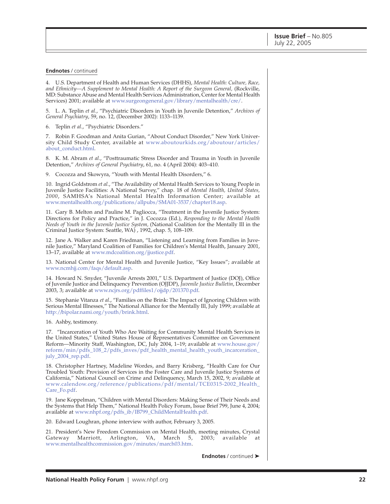#### **Endnotes** / continued

4. U.S. Department of Health and Human Services (DHHS), *Mental Health: Culture, Race, and Ethnicity—A Supplement to Mental Health: A Report of the Surgeon General,* (Rockville, MD: Substance Abuse and Mental Health Services Administration, Center for Mental Health Services) 2001; available a[t www.surgeongeneral.gov/library/mentalhealth/cre/.](http://www.surgeongeneral.gov/library/mentalhealth/cre/)

5. L. A. Teplin *et al.*, "Psychiatric Disorders in Youth in Juvenile Detention," *Archives of General Psychiatry*, 59, no. 12, (December 2002): 1133–1139.

6. Teplin *et al.*, "Psychiatric Disorders."

7. Robin F. Goodman and Anita Gurian, "About Conduct Disorder," New York University Child Study Center, available a[t www.aboutourkids.org/aboutour/articles/](http://www.aboutourkids.org/aboutour/articles/about_conduct.html) about\_conduct.html.

8. K. M. Abram *et al.*, "Posttraumatic Stress Disorder and Trauma in Youth in Juvenile Detention," *Archives of General Psychiatry*, 61, no. 4 (April 2004): 403–410.

9. Cocozza and Skowyra, "Youth with Mental Health Disorders," 6.

10. Ingrid Goldstrom *et al.*, "The Availability of Mental Health Services to Young People in Juvenile Justice Facilities: A National Survey," chap. 18 of *Mental Health, United States, 2000*, SAMHSA's National Mental Health Information Center; available at [www.mentalhealth.org/publications/allpubs/SMA01-3537/chapter18.asp.](http://www.mentalhealth.org/publications/allpubs/SMA01-3537/chapter18.asp)

11. Gary B. Melton and Pauline M. Pagliocca, "Treatment in the Juvenile Justice System: Directions for Policy and Practice," in J. Cocozza (Ed.), *Responding to the Mental Health Needs of Youth in the Juvenile Justice System,* (National Coalition for the Mentally Ill in the Criminal Justice System: Seattle, WA) , 1992, chap. 5, 108–109.

12. Jane A. Walker and Karen Friedman, "Listening and Learning from Families in Juvenile Justice," Maryland Coalition of Families for Children's Mental Health, January 2001, 13–17, available at [www.mdcoalition.org/jjustice.pdf.](http://www.mdcoalition.org/jjustice.pdf)

13. National Center for Mental Health and Juvenile Justice, "Key Issues"; available at [www.ncmhjj.com/faqs/default.asp.](http://www.ncmhjj.com/faqs/default.asp)

14. Howard N. Snyder, "Juvenile Arrests 2001," U.S. Department of Justice (DOJ), Office of Juvenile Justice and Delinquency Prevention (OJJDP), *Juvenile Justice Bulletin*, December 2003, 3; available at [www.ncjrs.org/pdffiles1/ojjdp/201370.pdf.](http://www.ncjrs.org/pdffiles1/ojjdp/201370.pdf)

15. Stephanie Vitanza *et al.*, "Families on the Brink: The Impact of Ignoring Children with Serious Mental Illnesses," The National Alliance for the Mentally Ill, July 1999; available at [http://bipolar.nami.org/youth/brink.html.](http://bipolar.nami.org/youth/brink.html)

16. Ashby, testimony.

17. "Incarceration of Youth Who Are Waiting for Community Mental Health Services in the United States," United States House of Representatives Committee on Government Reform—Minority Staff, Washington, DC, July 2004, 1–19; available at www.house.gov/ [reform/min/pdfs\\_108\\_2/pdfs\\_inves/pdf\\_health\\_mental\\_health\\_youth\\_incarceration\\_](http://www.house.gov/reform/min/pdfs_108_2/pdfs_inves/pdf_health_mental_health_youth_incarceration_july_2004_rep.pdf) july\_2004\_rep.pdf.

18. Christopher Hartney, Madeline Wordes, and Barry Krisberg, "Health Care for Our Troubled Youth: Provision of Services in the Foster Care and Juvenile Justice Systems of California," National Council on Crime and Delinquency, March 15, 2002, 9; available at [www.calendow.org/reference/publications/pdf/mental/TCE0315-2002\\_Health\\_](http://www.calendow.org/reference/publications/pdf/mental/TCE0315-2002_Health_Care_Fo.pdf) Care\_Fo.pdf.

19. Jane Koppelman, "Children with Mental Disorders: Making Sense of Their Needs and the Systems that Help Them," National Health Policy Forum, Issue Brief 799, June 4, 2004; available at [www.nhpf.org/pdfs\\_ib/IB799\\_ChildMentalHealth.pdf.](http://www.nhpf.org/pdfs_ib/IB799_ChildMentalHealth.pdf)

20. Edward Loughran, phone interview with author, February 3, 2005.

21. President's New Freedom Commission on Mental Health, meeting minutes, Crystal Gateway Marriott, Arlington, VA, March 5, 2003; available at [www.mentalhealthcommission.gov/minutes/march03.htm.](http://www.mentalhealthcommission.gov/minutes/march03.htm)

**Endnotes** / continued ➤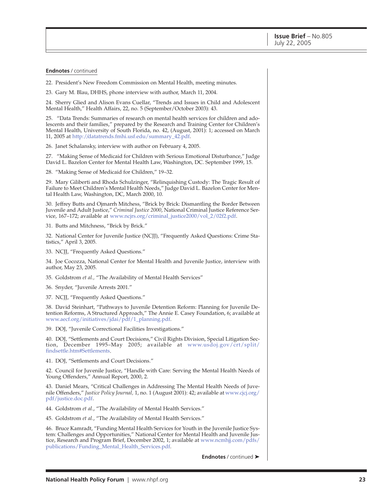**Endnotes** / continued

22. President's New Freedom Commission on Mental Health, meeting minutes.

23. Gary M. Blau, DHHS, phone interview with author, March 11, 2004.

24. Sherry Glied and Alison Evans Cuellar, "Trends and Issues in Child and Adolescent Mental Health," Health Affairs, 22, no. 5 (September/October 2003): 43.

25. "Data Trends: Summaries of research on mental health services for children and adolescents and their families," prepared by the Research and Training Center for Children's Mental Health, University of South Florida, no. 42, (August, 2001): 1; accessed on March 11, 2005 a[t http://datatrends.fmhi.usf.edu/summary\\_42.pdf.](http://datatrends.fmhi.usf.edu/summary_42.pdf)

26. Janet Schalansky, interview with author on February 4, 2005.

27. "Making Sense of Medicaid for Children with Serious Emotional Disturbance," Judge David L. Bazelon Center for Mental Health Law, Washington, DC. September 1999, 15.

28. "Making Sense of Medicaid for Children," 19–32.

29. Mary Giliberti and Rhoda Schulzinger, "Relinquishing Custody: The Tragic Result of Failure to Meet Children's Mental Health Needs," Judge David L. Bazelon Center for Mental Health Law, Washington, DC, March 2000, 10.

30. Jeffrey Butts and Ojmarrh Mitchess, "Brick by Brick: Dismantling the Border Between Juvenile and Adult Justice," *Criminal Justice 2000*, National Criminal Justice Reference Service, 167–172; available at [www.ncjrs.org/criminal\\_justice2000/vol\\_2/02f2.pdf.](http://www.ncjrs.org/criminal_justice2000/vol_2/02f2.pdf)

31. Butts and Mitchness, "Brick by Brick."

32. National Center for Juvenile Justice (NCJJ), "Frequently Asked Questions: Crime Statistics," April 3, 2005.

33. NCJJ, "Frequently Asked Questions."

34. Joe Cocozza, National Center for Mental Health and Juvenile Justice, interview with author, May 23, 2005.

35. Goldstrom *et al.,* "The Availability of Mental Health Services"

36. Snyder, "Juvenile Arrests 2001."

37. NCJJ, "Frequently Asked Questions."

38. David Steinhart, "Pathways to Juvenile Detention Reform: Planning for Juvenile Detention Reforms, A Structured Approach," The Annie E. Casey Foundation, 6; available at [www.aecf.org/initiatives/jdai/pdf/1\\_planning.pdf.](http://www.aecf.org/initiatives/jdai/pdf/1_planning.pdf)

39. DOJ, "Juvenile Correctional Facilities Investigations."

40. DOJ, "Settlements and Court Decisions," Civil Rights Division, Special Litigation Section, December 1995–May 2005; available at [www.usdoj.gov/crt/split/](http://www.usdoj.gov/crt/split/findsettle.htm#Settlements) findsettle.htm#Settlements.

41. DOJ, "Settlements and Court Decisions."

42. Council for Juvenile Justice, "Handle with Care: Serving the Mental Health Needs of Young Offenders," Annual Report, 2000, 2.

43. Daniel Mears, "Critical Challenges in Addressing The Mental Health Needs of Juvenile Offenders," *Justice Policy Journal,* 1, no. 1 (August 2001): 42; available a[t www.cjcj.org/](http://www.cjcj.org/pdf/justice.doc.pdf) pdf/justice.doc.pdf.

44. Goldstrom et al., "The Availability of Mental Health Services."

45. Goldstrom *et al.*, "The Availability of Mental Health Services."

46. Bruce Kamradt, "Funding Mental Health Services for Youth in the Juvenile Justice System: Challenges and Opportunities," National Center for Mental Health and Juvenile Justice, Research and Program Brief, December 2002, 1; available at [www.ncmhjj.com/pdfs/](http://www.ncmhjj.com/pdfs/publications/Funding_Mental_Health_Services.pdf) publications/Funding\_Mental\_Health\_Services.pdf.

**Endnotes** / continued ➤